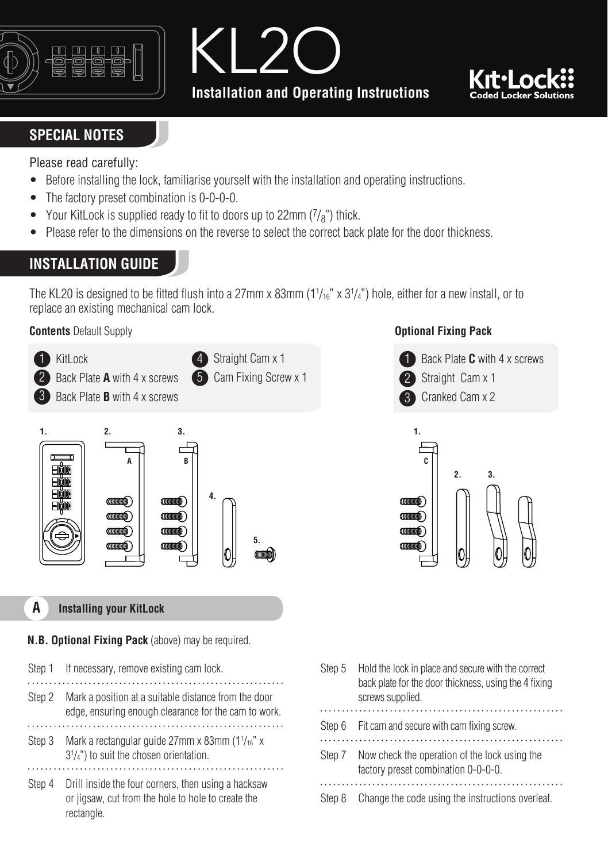





### **SPECIAL NOTES**

Please read carefully:

- Before installing the lock, familiarise yourself with the installation and operating instructions.
- The factory preset combination is 0-0-0-0.
- Your KitLock is supplied ready to fit to doors up to 22mm  $(7/s<sup>n</sup>)$  thick.
- Please refer to the dimensions on the reverse to select the correct back plate for the door thickness.

# **INSTALLATION GUIDE**

The KL20 is designed to be fitted flush into a 27mm x 83mm (1¼ $_6$ " x 3½") hole, either for a new install, or to replace an existing mechanical cam lock.

**Contents** Default Supply



### **A Installing your KitLock**

### **N.B. Optional Fixing Pack** (above) may be required.

- Step 1 If necessary, remove existing cam lock Step 2 Mark a position at a suitable distance from the door edge, ensuring enough clearance for the cam to work. Step 3 Mark a rectangular guide 27mm x 83mm (1 $\frac{1}{16}$ " x 31 /4") to suit the chosen orientation. Step 4 Drill inside the four corners, then using a hacksaw
- or jigsaw, cut from the hole to hole to create the rectangle.

| Step 5 | Hold the lock in place and secure with the correct<br>back plate for the door thickness, using the 4 fixing<br>screws supplied. |
|--------|---------------------------------------------------------------------------------------------------------------------------------|
|        |                                                                                                                                 |
|        | Step 6 Fit cam and secure with cam fixing screw.                                                                                |
| Step 7 | Now check the operation of the lock using the<br>factory preset combination 0-0-0-0.                                            |
| Step 8 | Change the code using the instructions overleaf.                                                                                |

#### **Optional Fixing Pack**